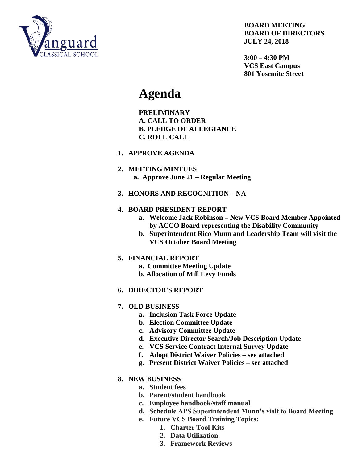

#### **BOARD MEETING BOARD OF DIRECTORS JULY 24, 2018**

**3:00 – 4:30 PM VCS East Campus 801 Yosemite Street**

# **Agenda**

**PRELIMINARY A. CALL TO ORDER B. PLEDGE OF ALLEGIANCE C. ROLL CALL**

- **1. APPROVE AGENDA**
- **2. MEETING MINTUES a. Approve June 21 – Regular Meeting**
- **3. HONORS AND RECOGNITION – NA**

## **4. BOARD PRESIDENT REPORT**

- **a. Welcome Jack Robinson – New VCS Board Member Appointed by ACCO Board representing the Disability Community**
- **b. Superintendent Rico Munn and Leadership Team will visit the VCS October Board Meeting**

### **5. FINANCIAL REPORT**

- **a. Committee Meeting Update**
- **b. Allocation of Mill Levy Funds**

### **6. DIRECTOR'S REPORT**

### **7. OLD BUSINESS**

- **a. Inclusion Task Force Update**
- **b. Election Committee Update**
- **c. Advisory Committee Update**
- **d. Executive Director Search/Job Description Update**
- **e. VCS Service Contract Internal Survey Update**
- **f. Adopt District Waiver Policies – see attached**
- **g. Present District Waiver Policies – see attached**

### **8. NEW BUSINESS**

- **a. Student fees**
- **b. Parent/student handbook**
- **c. Employee handbook/staff manual**
- **d. Schedule APS Superintendent Munn's visit to Board Meeting**
- **e. Future VCS Board Training Topics:**
	- **1. Charter Tool Kits**
	- **2. Data Utilization**
	- **3. Framework Reviews**